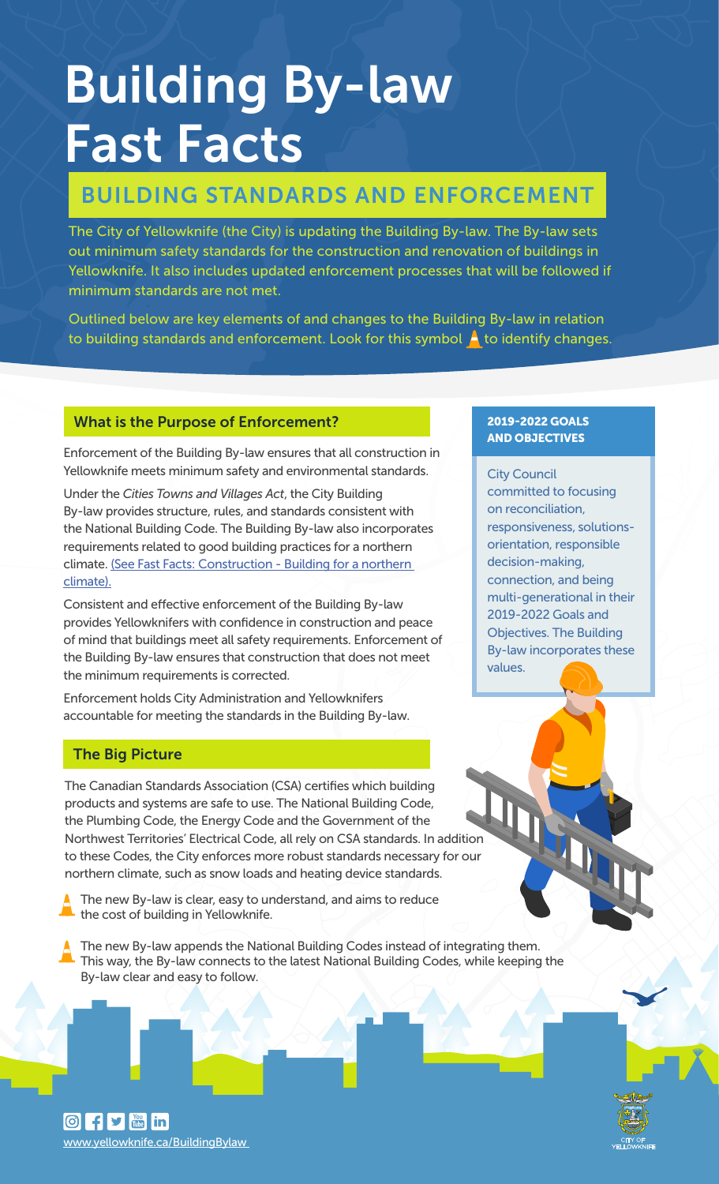# Building By-law Fast Facts

# BUILDING STANDARDS AND ENFORCEMENT

The City of Yellowknife (the City) is updating the Building By-law. The By-law sets out minimum safety standards for the construction and renovation of buildings in Yellowknife. It also includes updated enforcement processes that will be followed if minimum standards are not met.

Outlined below are key elements of and changes to the Building By-law in relation to building standards and enforcement. Look for this symbol  $\blacktriangle$  to identify changes.

#### What is the Purpose of Enforcement?

Enforcement of the Building By-law ensures that all construction in Yellowknife meets minimum safety and environmental standards.

Under the *Cities Towns and Villages Act*, the City Building By-law provides structure, rules, and standards consistent with the National Building Code. The Building By-law also incorporates requirements related to good building practices for a northern [climate. \(See Fast Facts: Construction - Building for a northern](https://www.yellowknife.ca/en/doing-business/resources/Building-By-law/Building-By-law-Fast-Facts-Building-for-a-Northern-Climate.pdf) climate).

Consistent and effective enforcement of the Building By-law provides Yellowknifers with confidence in construction and peace of mind that buildings meet all safety requirements. Enforcement of the Building By-law ensures that construction that does not meet the minimum requirements is corrected.

Enforcement holds City Administration and Yellowknifers accountable for meeting the standards in the Building By-law.

#### The Big Picture

The Canadian Standards Association (CSA) certifies which building products and systems are safe to use. The National Building Code, the Plumbing Code, the Energy Code and the Government of the Northwest Territories' Electrical Code, all rely on CSA standards. In addition to these Codes, the City enforces more robust standards necessary for our northern climate, such as snow loads and heating device standards.

The new By-law is clear, easy to understand, and aims to reduce the cost of building in Yellowknife.

The new By-law appends the National Building Codes instead of integrating them. This way, the By-law connects to the latest National Building Codes, while keeping the By-law clear and easy to follow.

### 2019-2022 GOALS AND OBJECTIVES

City Council committed to focusing on reconciliation, responsiveness, solutionsorientation, responsible decision-making, connection, and being multi-generational in their 2019-2022 Goals and Objectives. The Building By-law incorporates these values.

 $\boxed{0}$  f y  $\boxed{m}$  in www.yellowknife.ca/BuildingBylaw